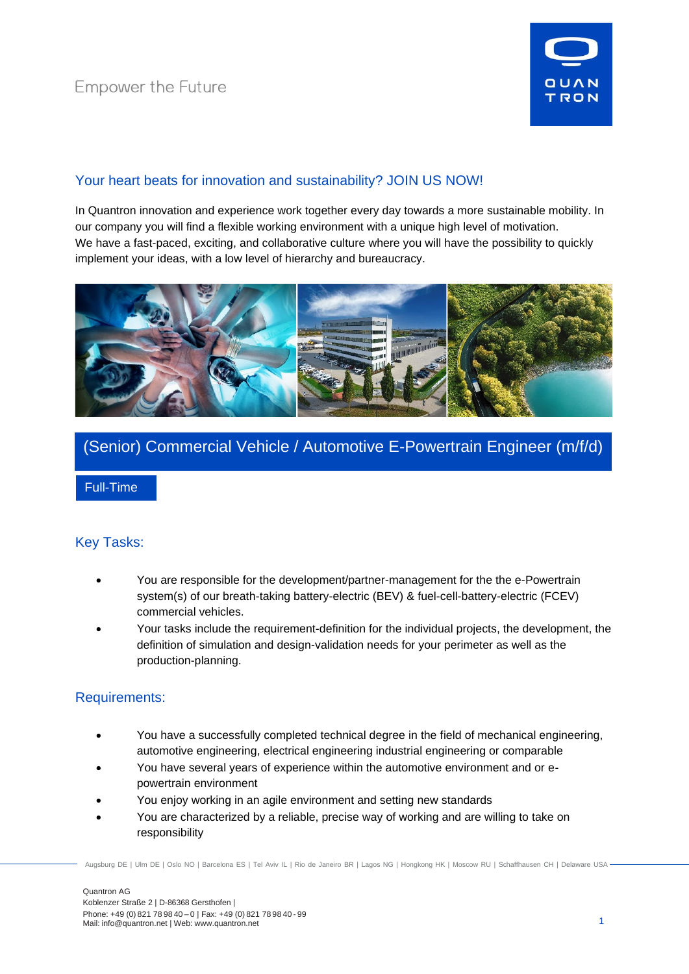

# Your heart beats for innovation and sustainability? JOIN US NOW!

In Quantron innovation and experience work together every day towards a more sustainable mobility. In our company you will find a flexible working environment with a unique high level of motivation. We have a fast-paced, exciting, and collaborative culture where you will have the possibility to quickly implement your ideas, with a low level of hierarchy and bureaucracy.



# (Senior) Commercial Vehicle / Automotive E-Powertrain Engineer (m/f/d)

Full-Time

## Key Tasks:

- You are responsible for the development/partner-management for the the e-Powertrain system(s) of our breath-taking battery-electric (BEV) & fuel-cell-battery-electric (FCEV) commercial vehicles.
- Your tasks include the requirement-definition for the individual projects, the development, the definition of simulation and design-validation needs for your perimeter as well as the production-planning.

## Requirements:

- You have a successfully completed technical degree in the field of mechanical engineering, automotive engineering, electrical engineering industrial engineering or comparable
- You have several years of experience within the automotive environment and or epowertrain environment
- You enjoy working in an agile environment and setting new standards
- You are characterized by a reliable, precise way of working and are willing to take on responsibility

Augsburg DE | Ulm DE | Oslo NO | Barcelona ES | Tel Aviv IL | Rio de Janeiro BR | Lagos NG | Hongkong HK | Moscow RU | Schaffhausen CH | Delaware USA